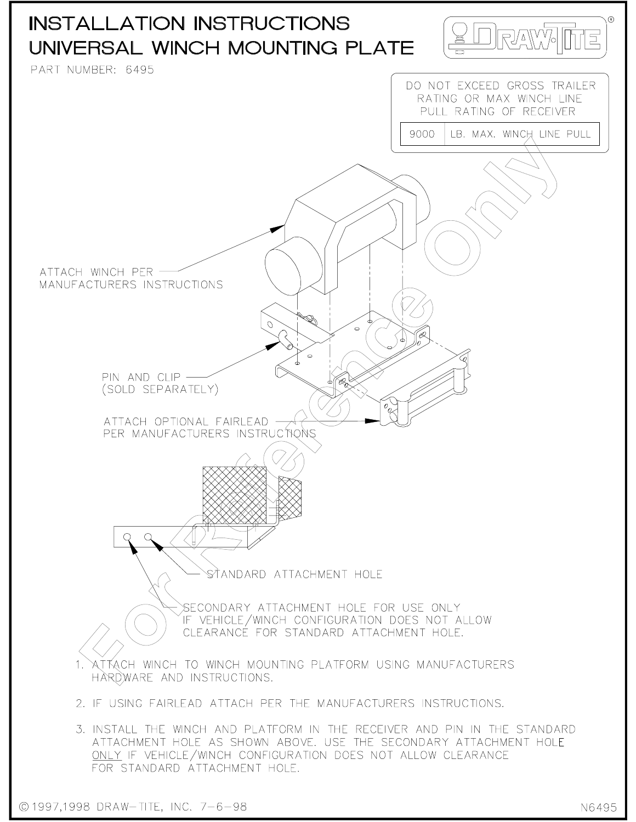